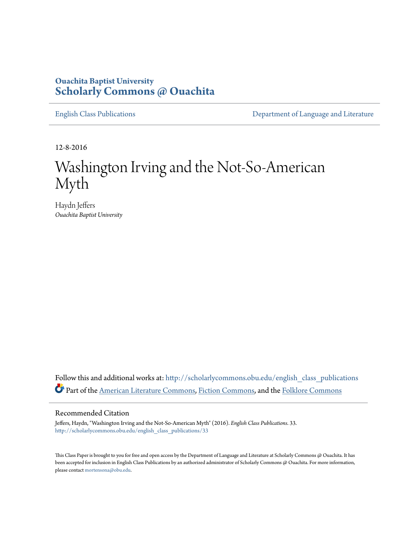## **Ouachita Baptist University [Scholarly Commons @ Ouachita](http://scholarlycommons.obu.edu?utm_source=scholarlycommons.obu.edu%2Fenglish_class_publications%2F33&utm_medium=PDF&utm_campaign=PDFCoverPages)**

[English Class Publications](http://scholarlycommons.obu.edu/english_class_publications?utm_source=scholarlycommons.obu.edu%2Fenglish_class_publications%2F33&utm_medium=PDF&utm_campaign=PDFCoverPages) **[Department of Language and Literature](http://scholarlycommons.obu.edu/english?utm_source=scholarlycommons.obu.edu%2Fenglish_class_publications%2F33&utm_medium=PDF&utm_campaign=PDFCoverPages)** 

12-8-2016

# Washington Irving and the Not-So-American Myth

Haydn Jeffers *Ouachita Baptist University*

Follow this and additional works at: [http://scholarlycommons.obu.edu/english\\_class\\_publications](http://scholarlycommons.obu.edu/english_class_publications?utm_source=scholarlycommons.obu.edu%2Fenglish_class_publications%2F33&utm_medium=PDF&utm_campaign=PDFCoverPages) Part of the [American Literature Commons,](http://network.bepress.com/hgg/discipline/441?utm_source=scholarlycommons.obu.edu%2Fenglish_class_publications%2F33&utm_medium=PDF&utm_campaign=PDFCoverPages) [Fiction Commons,](http://network.bepress.com/hgg/discipline/1151?utm_source=scholarlycommons.obu.edu%2Fenglish_class_publications%2F33&utm_medium=PDF&utm_campaign=PDFCoverPages) and the [Folklore Commons](http://network.bepress.com/hgg/discipline/321?utm_source=scholarlycommons.obu.edu%2Fenglish_class_publications%2F33&utm_medium=PDF&utm_campaign=PDFCoverPages)

#### Recommended Citation

Jeffers, Haydn, "Washington Irving and the Not-So-American Myth" (2016). *English Class Publications*. 33. [http://scholarlycommons.obu.edu/english\\_class\\_publications/33](http://scholarlycommons.obu.edu/english_class_publications/33?utm_source=scholarlycommons.obu.edu%2Fenglish_class_publications%2F33&utm_medium=PDF&utm_campaign=PDFCoverPages)

This Class Paper is brought to you for free and open access by the Department of Language and Literature at Scholarly Commons @ Ouachita. It has been accepted for inclusion in English Class Publications by an authorized administrator of Scholarly Commons @ Ouachita. For more information, please contact [mortensona@obu.edu.](mailto:mortensona@obu.edu)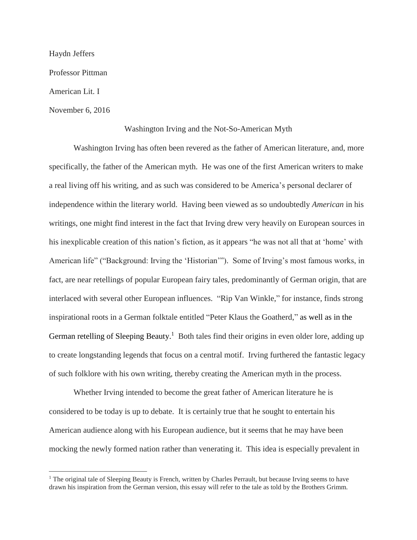Haydn Jeffers

Professor Pittman

American Lit. I

 $\overline{a}$ 

November 6, 2016

### Washington Irving and the Not-So-American Myth

Washington Irving has often been revered as the father of American literature, and, more specifically, the father of the American myth. He was one of the first American writers to make a real living off his writing, and as such was considered to be America's personal declarer of independence within the literary world. Having been viewed as so undoubtedly *American* in his writings, one might find interest in the fact that Irving drew very heavily on European sources in his inexplicable creation of this nation's fiction, as it appears "he was not all that at 'home' with American life" ("Background: Irving the 'Historian'"). Some of Irving's most famous works, in fact, are near retellings of popular European fairy tales, predominantly of German origin, that are interlaced with several other European influences. "Rip Van Winkle," for instance, finds strong inspirational roots in a German folktale entitled "Peter Klaus the Goatherd," as well as in the German retelling of Sleeping Beauty.<sup>1</sup> Both tales find their origins in even older lore, adding up to create longstanding legends that focus on a central motif. Irving furthered the fantastic legacy of such folklore with his own writing, thereby creating the American myth in the process.

Whether Irving intended to become the great father of American literature he is considered to be today is up to debate. It is certainly true that he sought to entertain his American audience along with his European audience, but it seems that he may have been mocking the newly formed nation rather than venerating it. This idea is especially prevalent in

 $1$  The original tale of Sleeping Beauty is French, written by Charles Perrault, but because Irving seems to have drawn his inspiration from the German version, this essay will refer to the tale as told by the Brothers Grimm.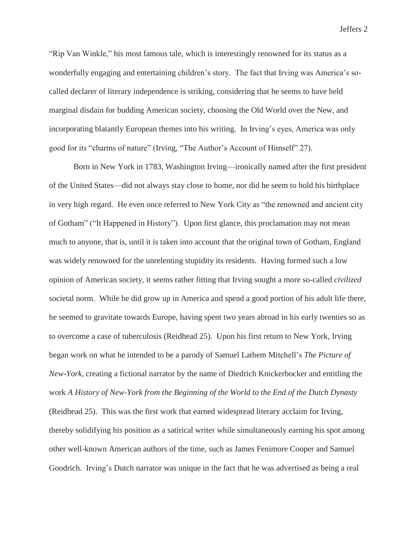"Rip Van Winkle," his most famous tale, which is interestingly renowned for its status as a wonderfully engaging and entertaining children's story. The fact that Irving was America's socalled declarer of literary independence is striking, considering that he seems to have held marginal disdain for budding American society, choosing the Old World over the New, and incorporating blatantly European themes into his writing. In Irving's eyes, America was only good for its "charms of nature" (Irving, "The Author's Account of Himself" 27).

Born in New York in 1783, Washington Irving—ironically named after the first president of the United States—did not always stay close to home, nor did he seem to hold his birthplace in very high regard. He even once referred to New York City as "the renowned and ancient city of Gotham" ("It Happened in History"). Upon first glance, this proclamation may not mean much to anyone, that is, until it is taken into account that the original town of Gotham, England was widely renowned for the unrelenting stupidity its residents. Having formed such a low opinion of American society, it seems rather fitting that Irving sought a more so-called *civilized* societal norm. While he did grow up in America and spend a good portion of his adult life there, he seemed to gravitate towards Europe, having spent two years abroad in his early twenties so as to overcome a case of tuberculosis (Reidhead 25). Upon his first return to New York, Irving began work on what he intended to be a parody of Samuel Lathem Mitchell's *The Picture of New-York*, creating a fictional narrator by the name of Diedrich Knickerbocker and entitling the work *A History of New-York from the Beginning of the World to the End of the Dutch Dynasty* (Reidhead 25). This was the first work that earned widespread literary acclaim for Irving, thereby solidifying his position as a satirical writer while simultaneously earning his spot among other well-known American authors of the time, such as James Fenimore Cooper and Samuel Goodrich. Irving's Dutch narrator was unique in the fact that he was advertised as being a real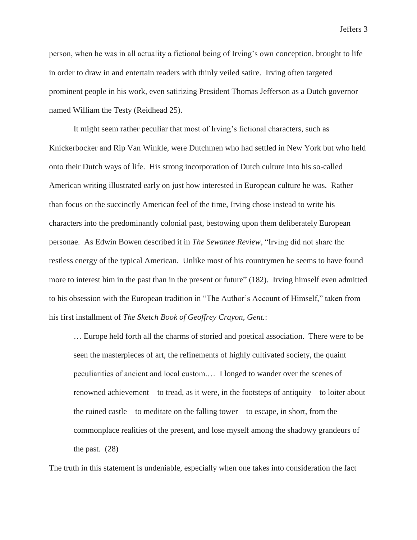person, when he was in all actuality a fictional being of Irving's own conception, brought to life in order to draw in and entertain readers with thinly veiled satire. Irving often targeted prominent people in his work, even satirizing President Thomas Jefferson as a Dutch governor named William the Testy (Reidhead 25).

It might seem rather peculiar that most of Irving's fictional characters, such as Knickerbocker and Rip Van Winkle, were Dutchmen who had settled in New York but who held onto their Dutch ways of life. His strong incorporation of Dutch culture into his so-called American writing illustrated early on just how interested in European culture he was. Rather than focus on the succinctly American feel of the time, Irving chose instead to write his characters into the predominantly colonial past, bestowing upon them deliberately European personae. As Edwin Bowen described it in *The Sewanee Review*, "Irving did not share the restless energy of the typical American. Unlike most of his countrymen he seems to have found more to interest him in the past than in the present or future" (182). Irving himself even admitted to his obsession with the European tradition in "The Author's Account of Himself," taken from his first installment of *The Sketch Book of Geoffrey Crayon, Gent.*:

… Europe held forth all the charms of storied and poetical association. There were to be seen the masterpieces of art, the refinements of highly cultivated society, the quaint peculiarities of ancient and local custom.… I longed to wander over the scenes of renowned achievement—to tread, as it were, in the footsteps of antiquity—to loiter about the ruined castle—to meditate on the falling tower—to escape, in short, from the commonplace realities of the present, and lose myself among the shadowy grandeurs of the past. (28)

The truth in this statement is undeniable, especially when one takes into consideration the fact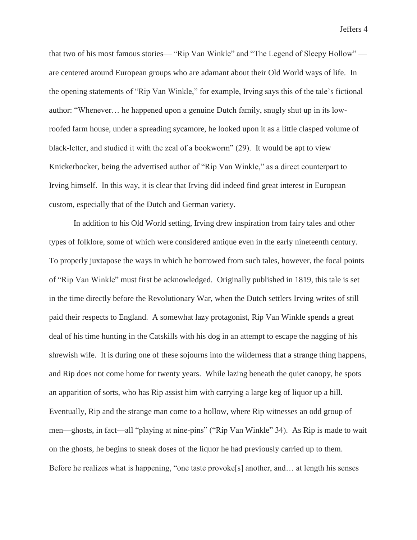that two of his most famous stories— "Rip Van Winkle" and "The Legend of Sleepy Hollow" are centered around European groups who are adamant about their Old World ways of life. In the opening statements of "Rip Van Winkle," for example, Irving says this of the tale's fictional author: "Whenever… he happened upon a genuine Dutch family, snugly shut up in its lowroofed farm house, under a spreading sycamore, he looked upon it as a little clasped volume of black-letter, and studied it with the zeal of a bookworm" (29). It would be apt to view Knickerbocker, being the advertised author of "Rip Van Winkle," as a direct counterpart to Irving himself. In this way, it is clear that Irving did indeed find great interest in European custom, especially that of the Dutch and German variety.

In addition to his Old World setting, Irving drew inspiration from fairy tales and other types of folklore, some of which were considered antique even in the early nineteenth century. To properly juxtapose the ways in which he borrowed from such tales, however, the focal points of "Rip Van Winkle" must first be acknowledged. Originally published in 1819, this tale is set in the time directly before the Revolutionary War, when the Dutch settlers Irving writes of still paid their respects to England. A somewhat lazy protagonist, Rip Van Winkle spends a great deal of his time hunting in the Catskills with his dog in an attempt to escape the nagging of his shrewish wife. It is during one of these sojourns into the wilderness that a strange thing happens, and Rip does not come home for twenty years. While lazing beneath the quiet canopy, he spots an apparition of sorts, who has Rip assist him with carrying a large keg of liquor up a hill. Eventually, Rip and the strange man come to a hollow, where Rip witnesses an odd group of men—ghosts, in fact—all "playing at nine-pins" ("Rip Van Winkle" 34). As Rip is made to wait on the ghosts, he begins to sneak doses of the liquor he had previously carried up to them. Before he realizes what is happening, "one taste provoke[s] another, and… at length his senses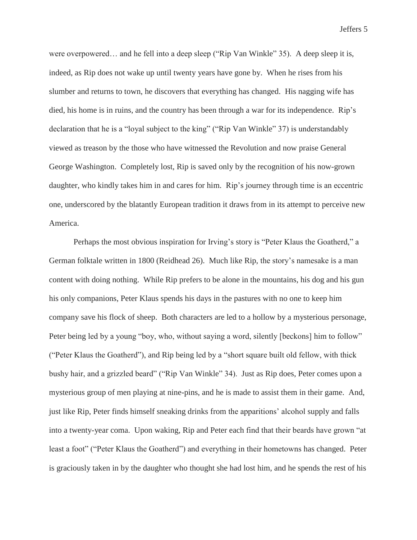were overpowered… and he fell into a deep sleep ("Rip Van Winkle" 35). A deep sleep it is, indeed, as Rip does not wake up until twenty years have gone by. When he rises from his slumber and returns to town, he discovers that everything has changed. His nagging wife has died, his home is in ruins, and the country has been through a war for its independence. Rip's declaration that he is a "loyal subject to the king" ("Rip Van Winkle" 37) is understandably viewed as treason by the those who have witnessed the Revolution and now praise General George Washington. Completely lost, Rip is saved only by the recognition of his now-grown daughter, who kindly takes him in and cares for him. Rip's journey through time is an eccentric one, underscored by the blatantly European tradition it draws from in its attempt to perceive new America.

Perhaps the most obvious inspiration for Irving's story is "Peter Klaus the Goatherd," a German folktale written in 1800 (Reidhead 26). Much like Rip, the story's namesake is a man content with doing nothing. While Rip prefers to be alone in the mountains, his dog and his gun his only companions, Peter Klaus spends his days in the pastures with no one to keep him company save his flock of sheep. Both characters are led to a hollow by a mysterious personage, Peter being led by a young "boy, who, without saying a word, silently [beckons] him to follow" ("Peter Klaus the Goatherd"), and Rip being led by a "short square built old fellow, with thick bushy hair, and a grizzled beard" ("Rip Van Winkle" 34). Just as Rip does, Peter comes upon a mysterious group of men playing at nine-pins, and he is made to assist them in their game. And, just like Rip, Peter finds himself sneaking drinks from the apparitions' alcohol supply and falls into a twenty-year coma. Upon waking, Rip and Peter each find that their beards have grown "at least a foot" ("Peter Klaus the Goatherd") and everything in their hometowns has changed. Peter is graciously taken in by the daughter who thought she had lost him, and he spends the rest of his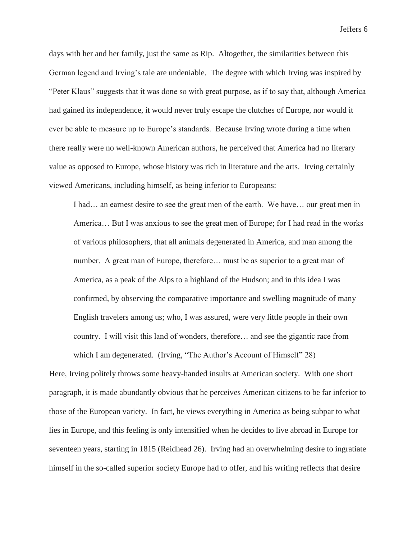days with her and her family, just the same as Rip. Altogether, the similarities between this German legend and Irving's tale are undeniable. The degree with which Irving was inspired by "Peter Klaus" suggests that it was done so with great purpose, as if to say that, although America had gained its independence, it would never truly escape the clutches of Europe, nor would it ever be able to measure up to Europe's standards. Because Irving wrote during a time when there really were no well-known American authors, he perceived that America had no literary value as opposed to Europe, whose history was rich in literature and the arts. Irving certainly viewed Americans, including himself, as being inferior to Europeans:

I had… an earnest desire to see the great men of the earth. We have… our great men in America… But I was anxious to see the great men of Europe; for I had read in the works of various philosophers, that all animals degenerated in America, and man among the number. A great man of Europe, therefore… must be as superior to a great man of America, as a peak of the Alps to a highland of the Hudson; and in this idea I was confirmed, by observing the comparative importance and swelling magnitude of many English travelers among us; who, I was assured, were very little people in their own country. I will visit this land of wonders, therefore… and see the gigantic race from which I am degenerated. (Irving, "The Author's Account of Himself" 28)

Here, Irving politely throws some heavy-handed insults at American society. With one short paragraph, it is made abundantly obvious that he perceives American citizens to be far inferior to those of the European variety. In fact, he views everything in America as being subpar to what lies in Europe, and this feeling is only intensified when he decides to live abroad in Europe for seventeen years, starting in 1815 (Reidhead 26). Irving had an overwhelming desire to ingratiate himself in the so-called superior society Europe had to offer, and his writing reflects that desire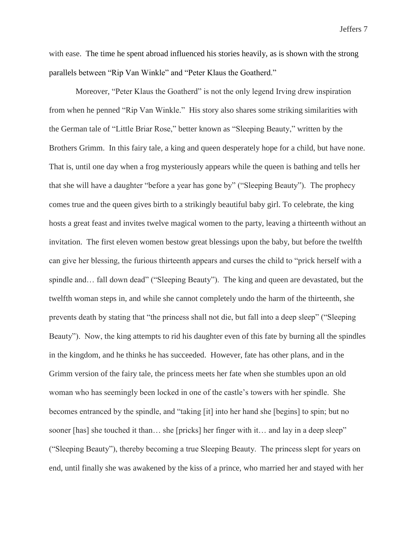with ease. The time he spent abroad influenced his stories heavily, as is shown with the strong parallels between "Rip Van Winkle" and "Peter Klaus the Goatherd."

Moreover, "Peter Klaus the Goatherd" is not the only legend Irving drew inspiration from when he penned "Rip Van Winkle." His story also shares some striking similarities with the German tale of "Little Briar Rose," better known as "Sleeping Beauty," written by the Brothers Grimm. In this fairy tale, a king and queen desperately hope for a child, but have none. That is, until one day when a frog mysteriously appears while the queen is bathing and tells her that she will have a daughter "before a year has gone by" ("Sleeping Beauty"). The prophecy comes true and the queen gives birth to a strikingly beautiful baby girl. To celebrate, the king hosts a great feast and invites twelve magical women to the party, leaving a thirteenth without an invitation. The first eleven women bestow great blessings upon the baby, but before the twelfth can give her blessing, the furious thirteenth appears and curses the child to "prick herself with a spindle and... fall down dead" ("Sleeping Beauty"). The king and queen are devastated, but the twelfth woman steps in, and while she cannot completely undo the harm of the thirteenth, she prevents death by stating that "the princess shall not die, but fall into a deep sleep" ("Sleeping Beauty"). Now, the king attempts to rid his daughter even of this fate by burning all the spindles in the kingdom, and he thinks he has succeeded. However, fate has other plans, and in the Grimm version of the fairy tale, the princess meets her fate when she stumbles upon an old woman who has seemingly been locked in one of the castle's towers with her spindle. She becomes entranced by the spindle, and "taking [it] into her hand she [begins] to spin; but no sooner [has] she touched it than... she [pricks] her finger with it… and lay in a deep sleep" ("Sleeping Beauty"), thereby becoming a true Sleeping Beauty. The princess slept for years on end, until finally she was awakened by the kiss of a prince, who married her and stayed with her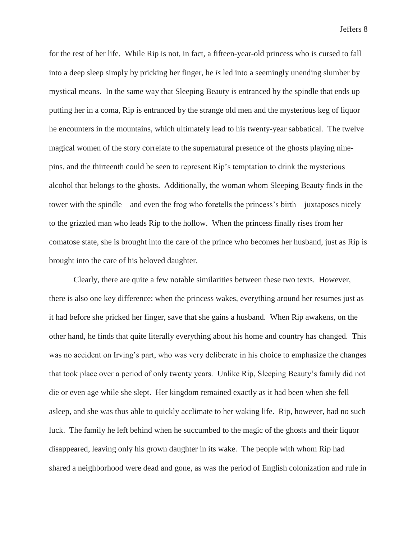for the rest of her life. While Rip is not, in fact, a fifteen-year-old princess who is cursed to fall into a deep sleep simply by pricking her finger, he *is* led into a seemingly unending slumber by mystical means. In the same way that Sleeping Beauty is entranced by the spindle that ends up putting her in a coma, Rip is entranced by the strange old men and the mysterious keg of liquor he encounters in the mountains, which ultimately lead to his twenty-year sabbatical. The twelve magical women of the story correlate to the supernatural presence of the ghosts playing ninepins, and the thirteenth could be seen to represent Rip's temptation to drink the mysterious alcohol that belongs to the ghosts. Additionally, the woman whom Sleeping Beauty finds in the tower with the spindle—and even the frog who foretells the princess's birth—juxtaposes nicely to the grizzled man who leads Rip to the hollow. When the princess finally rises from her comatose state, she is brought into the care of the prince who becomes her husband, just as Rip is brought into the care of his beloved daughter.

Clearly, there are quite a few notable similarities between these two texts. However, there is also one key difference: when the princess wakes, everything around her resumes just as it had before she pricked her finger, save that she gains a husband. When Rip awakens, on the other hand, he finds that quite literally everything about his home and country has changed. This was no accident on Irving's part, who was very deliberate in his choice to emphasize the changes that took place over a period of only twenty years. Unlike Rip, Sleeping Beauty's family did not die or even age while she slept. Her kingdom remained exactly as it had been when she fell asleep, and she was thus able to quickly acclimate to her waking life. Rip, however, had no such luck. The family he left behind when he succumbed to the magic of the ghosts and their liquor disappeared, leaving only his grown daughter in its wake. The people with whom Rip had shared a neighborhood were dead and gone, as was the period of English colonization and rule in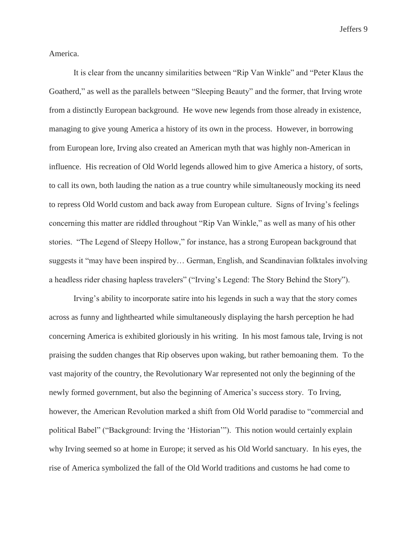America.

It is clear from the uncanny similarities between "Rip Van Winkle" and "Peter Klaus the Goatherd," as well as the parallels between "Sleeping Beauty" and the former, that Irving wrote from a distinctly European background. He wove new legends from those already in existence, managing to give young America a history of its own in the process. However, in borrowing from European lore, Irving also created an American myth that was highly non-American in influence. His recreation of Old World legends allowed him to give America a history, of sorts, to call its own, both lauding the nation as a true country while simultaneously mocking its need to repress Old World custom and back away from European culture. Signs of Irving's feelings concerning this matter are riddled throughout "Rip Van Winkle," as well as many of his other stories. "The Legend of Sleepy Hollow," for instance, has a strong European background that suggests it "may have been inspired by… German, English, and Scandinavian folktales involving a headless rider chasing hapless travelers" ("Irving's Legend: The Story Behind the Story").

Irving's ability to incorporate satire into his legends in such a way that the story comes across as funny and lighthearted while simultaneously displaying the harsh perception he had concerning America is exhibited gloriously in his writing. In his most famous tale, Irving is not praising the sudden changes that Rip observes upon waking, but rather bemoaning them. To the vast majority of the country, the Revolutionary War represented not only the beginning of the newly formed government, but also the beginning of America's success story. To Irving, however, the American Revolution marked a shift from Old World paradise to "commercial and political Babel" ("Background: Irving the 'Historian'"). This notion would certainly explain why Irving seemed so at home in Europe; it served as his Old World sanctuary. In his eyes, the rise of America symbolized the fall of the Old World traditions and customs he had come to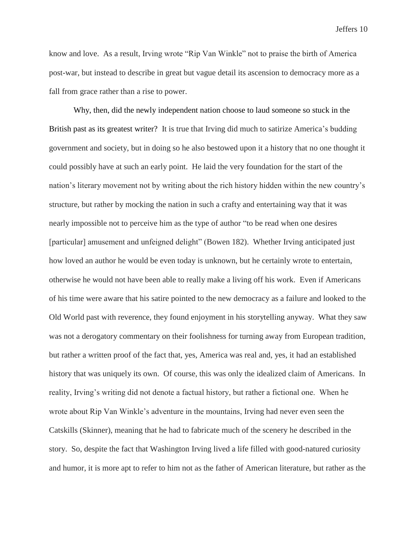know and love. As a result, Irving wrote "Rip Van Winkle" not to praise the birth of America post-war, but instead to describe in great but vague detail its ascension to democracy more as a fall from grace rather than a rise to power.

Why, then, did the newly independent nation choose to laud someone so stuck in the British past as its greatest writer? It is true that Irving did much to satirize America's budding government and society, but in doing so he also bestowed upon it a history that no one thought it could possibly have at such an early point. He laid the very foundation for the start of the nation's literary movement not by writing about the rich history hidden within the new country's structure, but rather by mocking the nation in such a crafty and entertaining way that it was nearly impossible not to perceive him as the type of author "to be read when one desires [particular] amusement and unfeigned delight" (Bowen 182). Whether Irving anticipated just how loved an author he would be even today is unknown, but he certainly wrote to entertain, otherwise he would not have been able to really make a living off his work. Even if Americans of his time were aware that his satire pointed to the new democracy as a failure and looked to the Old World past with reverence, they found enjoyment in his storytelling anyway. What they saw was not a derogatory commentary on their foolishness for turning away from European tradition, but rather a written proof of the fact that, yes, America was real and, yes, it had an established history that was uniquely its own. Of course, this was only the idealized claim of Americans. In reality, Irving's writing did not denote a factual history, but rather a fictional one. When he wrote about Rip Van Winkle's adventure in the mountains, Irving had never even seen the Catskills (Skinner), meaning that he had to fabricate much of the scenery he described in the story. So, despite the fact that Washington Irving lived a life filled with good-natured curiosity and humor, it is more apt to refer to him not as the father of American literature, but rather as the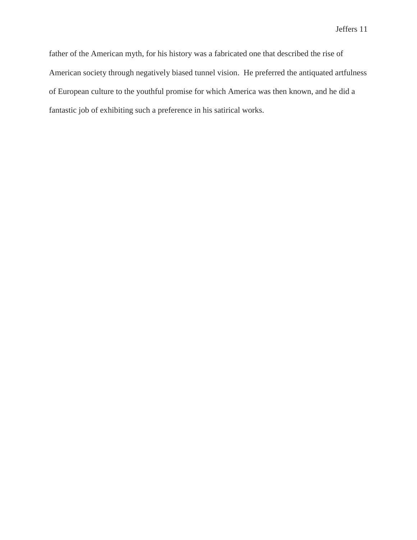father of the American myth, for his history was a fabricated one that described the rise of American society through negatively biased tunnel vision. He preferred the antiquated artfulness of European culture to the youthful promise for which America was then known, and he did a fantastic job of exhibiting such a preference in his satirical works.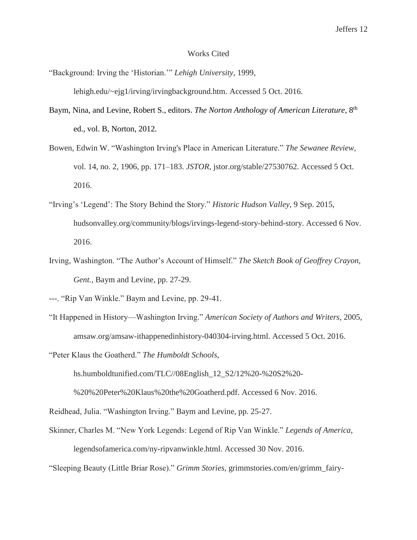#### Works Cited

"Background: Irving the 'Historian.'" *Lehigh University*, 1999, lehigh.edu/~ejg1/irving/irvingbackground.htm. Accessed 5 Oct. 2016.

- Baym, Nina, and Levine, Robert S., editors. *The Norton Anthology of American Literature*, 8th ed., vol. B, Norton, 2012.
- Bowen, Edwin W. "Washington Irving's Place in American Literature." *The Sewanee Review*, vol. 14, no. 2, 1906, pp. 171–183. *JSTOR*, jstor.org/stable/27530762. Accessed 5 Oct. 2016.
- "Irving's 'Legend': The Story Behind the Story." *Historic Hudson Valley*, 9 Sep. 2015, hudsonvalley.org/community/blogs/irvings-legend-story-behind-story. Accessed 6 Nov. 2016.
- Irving, Washington. "The Author's Account of Himself." *The Sketch Book of Geoffrey Crayon, Gent.*, Baym and Levine, pp. 27-29.

"It Happened in History—Washington Irving." *American Society of Authors and Writers*, 2005, amsaw.org/amsaw-ithappenedinhistory-040304-irving.html. Accessed 5 Oct. 2016.

"Peter Klaus the Goatherd." *The Humboldt Schools*,

hs.humboldtunified.com/TLC//08English\_12\_S2/12%20-%20S2%20-

%20%20Peter%20Klaus%20the%20Goatherd.pdf. Accessed 6 Nov. 2016.

Reidhead, Julia. "Washington Irving." Baym and Levine, pp. 25-27.

Skinner, Charles M. "New York Legends: Legend of Rip Van Winkle." *Legends of America*, legendsofamerica.com/ny-ripvanwinkle.html. Accessed 30 Nov. 2016.

"Sleeping Beauty (Little Briar Rose)." *Grimm Stories*, grimmstories.com/en/grimm\_fairy-

<sup>---. &</sup>quot;Rip Van Winkle." Baym and Levine, pp. 29-41.